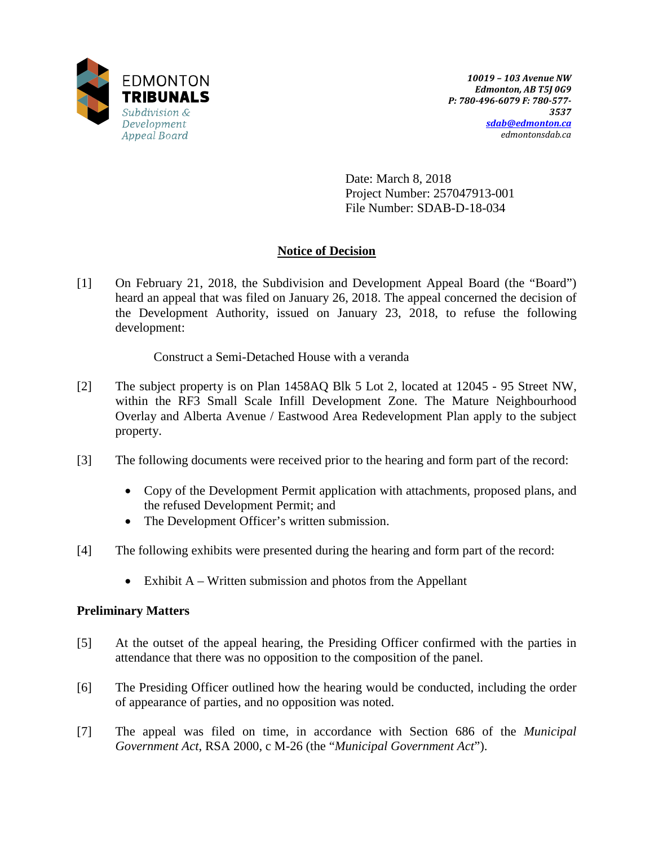

Date: March 8, 2018 Project Number: 257047913-001 File Number: SDAB-D-18-034

# **Notice of Decision**

[1] On February 21, 2018, the Subdivision and Development Appeal Board (the "Board") heard an appeal that was filed on January 26, 2018. The appeal concerned the decision of the Development Authority, issued on January 23, 2018, to refuse the following development:

Construct a Semi-Detached House with a veranda

- [2] The subject property is on Plan 1458AQ Blk 5 Lot 2, located at 12045 95 Street NW, within the RF3 Small Scale Infill Development Zone. The Mature Neighbourhood Overlay and Alberta Avenue / Eastwood Area Redevelopment Plan apply to the subject property.
- [3] The following documents were received prior to the hearing and form part of the record:
	- Copy of the Development Permit application with attachments, proposed plans, and the refused Development Permit; and
	- The Development Officer's written submission.
- [4] The following exhibits were presented during the hearing and form part of the record:
	- Exhibit  $A W$ ritten submission and photos from the Appellant

## **Preliminary Matters**

- [5] At the outset of the appeal hearing, the Presiding Officer confirmed with the parties in attendance that there was no opposition to the composition of the panel.
- [6] The Presiding Officer outlined how the hearing would be conducted, including the order of appearance of parties, and no opposition was noted.
- [7] The appeal was filed on time, in accordance with Section 686 of the *Municipal Government Act*, RSA 2000, c M-26 (the "*Municipal Government Act*").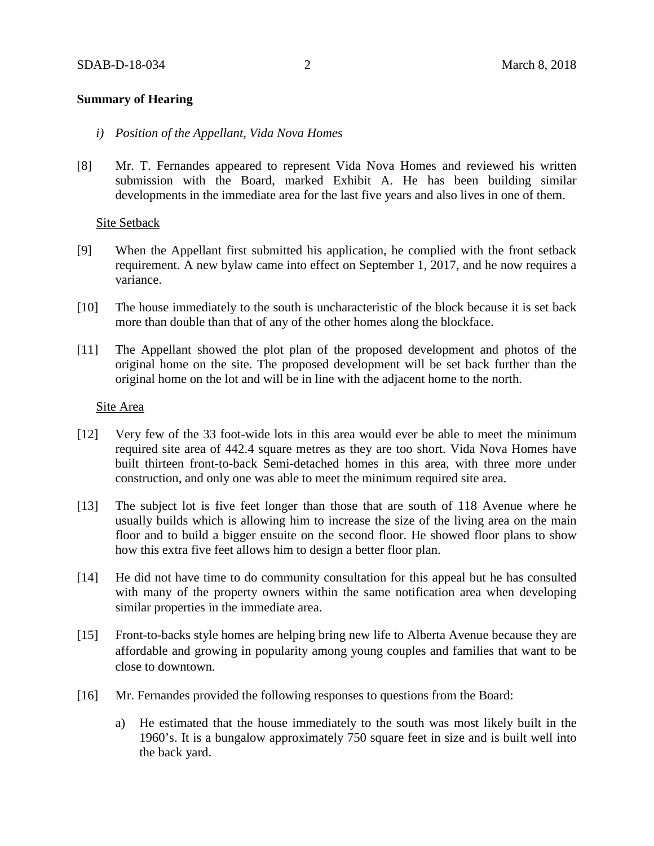### **Summary of Hearing**

- *i) Position of the Appellant, Vida Nova Homes*
- [8] Mr. T. Fernandes appeared to represent Vida Nova Homes and reviewed his written submission with the Board, marked Exhibit A. He has been building similar developments in the immediate area for the last five years and also lives in one of them.

### Site Setback

- [9] When the Appellant first submitted his application, he complied with the front setback requirement. A new bylaw came into effect on September 1, 2017, and he now requires a variance.
- [10] The house immediately to the south is uncharacteristic of the block because it is set back more than double than that of any of the other homes along the blockface.
- [11] The Appellant showed the plot plan of the proposed development and photos of the original home on the site. The proposed development will be set back further than the original home on the lot and will be in line with the adjacent home to the north.

#### Site Area

- [12] Very few of the 33 foot-wide lots in this area would ever be able to meet the minimum required site area of 442.4 square metres as they are too short. Vida Nova Homes have built thirteen front-to-back Semi-detached homes in this area, with three more under construction, and only one was able to meet the minimum required site area.
- [13] The subject lot is five feet longer than those that are south of 118 Avenue where he usually builds which is allowing him to increase the size of the living area on the main floor and to build a bigger ensuite on the second floor. He showed floor plans to show how this extra five feet allows him to design a better floor plan.
- [14] He did not have time to do community consultation for this appeal but he has consulted with many of the property owners within the same notification area when developing similar properties in the immediate area.
- [15] Front-to-backs style homes are helping bring new life to Alberta Avenue because they are affordable and growing in popularity among young couples and families that want to be close to downtown.
- [16] Mr. Fernandes provided the following responses to questions from the Board:
	- a) He estimated that the house immediately to the south was most likely built in the 1960's. It is a bungalow approximately 750 square feet in size and is built well into the back yard.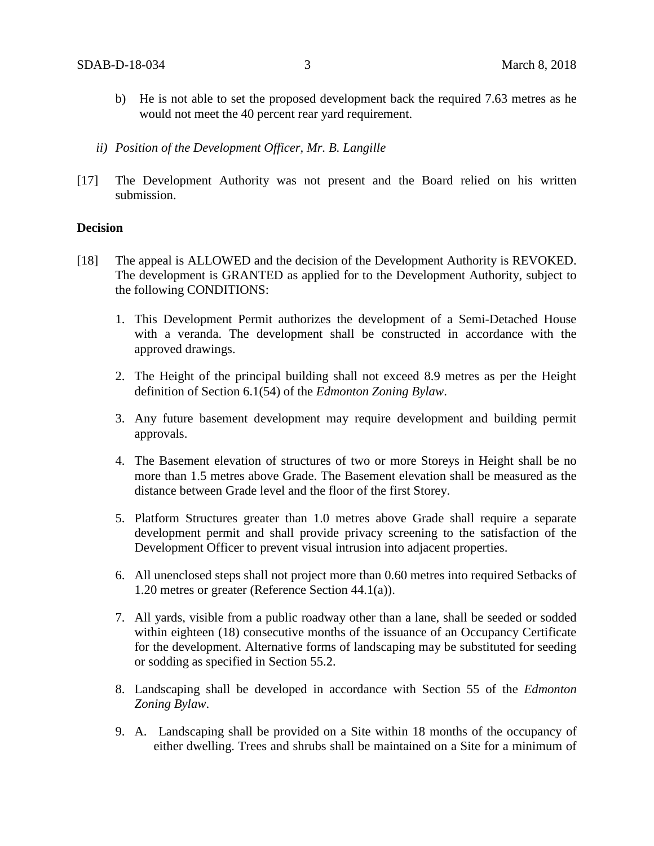- b) He is not able to set the proposed development back the required 7.63 metres as he would not meet the 40 percent rear yard requirement.
- *ii) Position of the Development Officer, Mr. B. Langille*
- [17] The Development Authority was not present and the Board relied on his written submission.

#### **Decision**

- [18] The appeal is ALLOWED and the decision of the Development Authority is REVOKED. The development is GRANTED as applied for to the Development Authority, subject to the following CONDITIONS:
	- 1. This Development Permit authorizes the development of a Semi-Detached House with a veranda. The development shall be constructed in accordance with the approved drawings.
	- 2. The Height of the principal building shall not exceed 8.9 metres as per the Height definition of Section 6.1(54) of the *Edmonton Zoning Bylaw*.
	- 3. Any future basement development may require development and building permit approvals.
	- 4. The Basement elevation of structures of two or more Storeys in Height shall be no more than 1.5 metres above Grade. The Basement elevation shall be measured as the distance between Grade level and the floor of the first Storey.
	- 5. Platform Structures greater than 1.0 metres above Grade shall require a separate development permit and shall provide privacy screening to the satisfaction of the Development Officer to prevent visual intrusion into adjacent properties.
	- 6. All unenclosed steps shall not project more than 0.60 metres into required Setbacks of 1.20 metres or greater (Reference Section 44.1(a)).
	- 7. All yards, visible from a public roadway other than a lane, shall be seeded or sodded within eighteen (18) consecutive months of the issuance of an Occupancy Certificate for the development. Alternative forms of landscaping may be substituted for seeding or sodding as specified in Section 55.2.
	- 8. Landscaping shall be developed in accordance with Section 55 of the *Edmonton Zoning Bylaw*.
	- 9. A. Landscaping shall be provided on a Site within 18 months of the occupancy of either dwelling. Trees and shrubs shall be maintained on a Site for a minimum of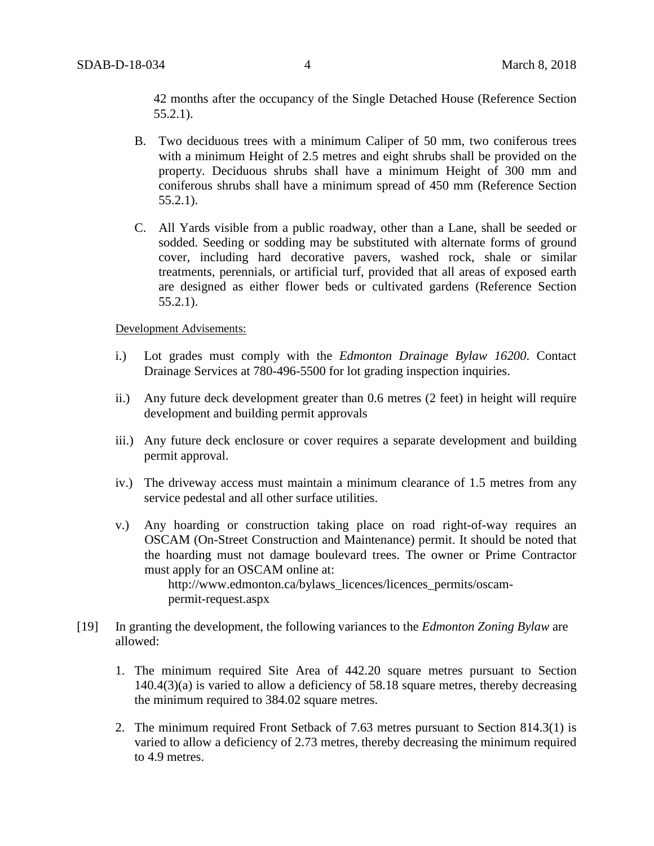42 months after the occupancy of the Single Detached House (Reference Section 55.2.1).

- B. Two deciduous trees with a minimum Caliper of 50 mm, two coniferous trees with a minimum Height of 2.5 metres and eight shrubs shall be provided on the property. Deciduous shrubs shall have a minimum Height of 300 mm and coniferous shrubs shall have a minimum spread of 450 mm (Reference Section 55.2.1).
- C. All Yards visible from a public roadway, other than a Lane, shall be seeded or sodded. Seeding or sodding may be substituted with alternate forms of ground cover, including hard decorative pavers, washed rock, shale or similar treatments, perennials, or artificial turf, provided that all areas of exposed earth are designed as either flower beds or cultivated gardens (Reference Section 55.2.1).

Development Advisements:

- i.) Lot grades must comply with the *Edmonton Drainage Bylaw 16200*. Contact Drainage Services at 780-496-5500 for lot grading inspection inquiries.
- ii.) Any future deck development greater than 0.6 metres (2 feet) in height will require development and building permit approvals
- iii.) Any future deck enclosure or cover requires a separate development and building permit approval.
- iv.) The driveway access must maintain a minimum clearance of 1.5 metres from any service pedestal and all other surface utilities.
- v.) Any hoarding or construction taking place on road right-of-way requires an OSCAM (On-Street Construction and Maintenance) permit. It should be noted that the hoarding must not damage boulevard trees. The owner or Prime Contractor must apply for an OSCAM online at: http://www.edmonton.ca/bylaws\_licences/licences\_permits/oscam-
- permit-request.aspx [19] In granting the development, the following variances to the *Edmonton Zoning Bylaw* are
- allowed:
	- 1. The minimum required Site Area of 442.20 square metres pursuant to Section 140.4(3)(a) is varied to allow a deficiency of 58.18 square metres, thereby decreasing the minimum required to 384.02 square metres.
	- 2. The minimum required Front Setback of 7.63 metres pursuant to Section 814.3(1) is varied to allow a deficiency of 2.73 metres, thereby decreasing the minimum required to 4.9 metres.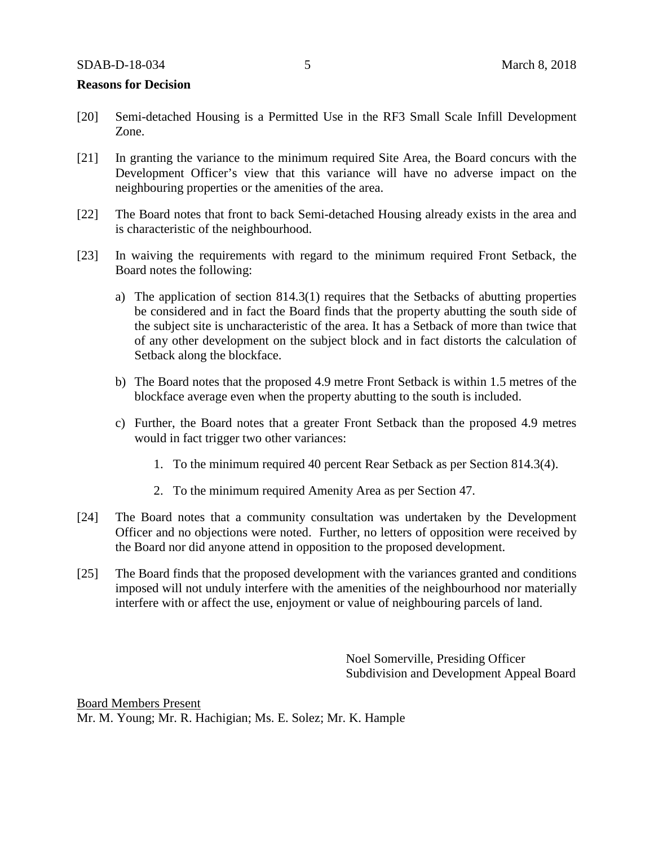#### **Reasons for Decision**

- [20] Semi-detached Housing is a Permitted Use in the RF3 Small Scale Infill Development Zone.
- [21] In granting the variance to the minimum required Site Area, the Board concurs with the Development Officer's view that this variance will have no adverse impact on the neighbouring properties or the amenities of the area.
- [22] The Board notes that front to back Semi-detached Housing already exists in the area and is characteristic of the neighbourhood.
- [23] In waiving the requirements with regard to the minimum required Front Setback, the Board notes the following:
	- a) The application of section 814.3(1) requires that the Setbacks of abutting properties be considered and in fact the Board finds that the property abutting the south side of the subject site is uncharacteristic of the area. It has a Setback of more than twice that of any other development on the subject block and in fact distorts the calculation of Setback along the blockface.
	- b) The Board notes that the proposed 4.9 metre Front Setback is within 1.5 metres of the blockface average even when the property abutting to the south is included.
	- c) Further, the Board notes that a greater Front Setback than the proposed 4.9 metres would in fact trigger two other variances:
		- 1. To the minimum required 40 percent Rear Setback as per Section 814.3(4).
		- 2. To the minimum required Amenity Area as per Section 47.
- [24] The Board notes that a community consultation was undertaken by the Development Officer and no objections were noted. Further, no letters of opposition were received by the Board nor did anyone attend in opposition to the proposed development.
- [25] The Board finds that the proposed development with the variances granted and conditions imposed will not unduly interfere with the amenities of the neighbourhood nor materially interfere with or affect the use, enjoyment or value of neighbouring parcels of land.

Noel Somerville, Presiding Officer Subdivision and Development Appeal Board

Board Members Present Mr. M. Young; Mr. R. Hachigian; Ms. E. Solez; Mr. K. Hample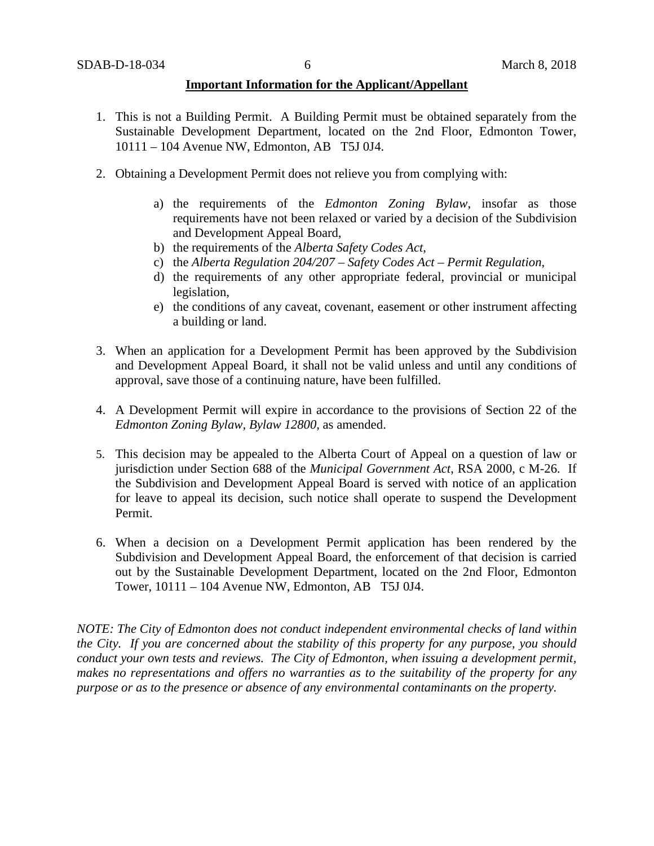#### **Important Information for the Applicant/Appellant**

- 1. This is not a Building Permit. A Building Permit must be obtained separately from the Sustainable Development Department, located on the 2nd Floor, Edmonton Tower, 10111 – 104 Avenue NW, Edmonton, AB T5J 0J4.
- 2. Obtaining a Development Permit does not relieve you from complying with:
	- a) the requirements of the *Edmonton Zoning Bylaw*, insofar as those requirements have not been relaxed or varied by a decision of the Subdivision and Development Appeal Board,
	- b) the requirements of the *Alberta Safety Codes Act*,
	- c) the *Alberta Regulation 204/207 – Safety Codes Act – Permit Regulation*,
	- d) the requirements of any other appropriate federal, provincial or municipal legislation,
	- e) the conditions of any caveat, covenant, easement or other instrument affecting a building or land.
- 3. When an application for a Development Permit has been approved by the Subdivision and Development Appeal Board, it shall not be valid unless and until any conditions of approval, save those of a continuing nature, have been fulfilled.
- 4. A Development Permit will expire in accordance to the provisions of Section 22 of the *Edmonton Zoning Bylaw, Bylaw 12800*, as amended.
- 5. This decision may be appealed to the Alberta Court of Appeal on a question of law or jurisdiction under Section 688 of the *Municipal Government Act*, RSA 2000, c M-26. If the Subdivision and Development Appeal Board is served with notice of an application for leave to appeal its decision, such notice shall operate to suspend the Development Permit.
- 6. When a decision on a Development Permit application has been rendered by the Subdivision and Development Appeal Board, the enforcement of that decision is carried out by the Sustainable Development Department, located on the 2nd Floor, Edmonton Tower, 10111 – 104 Avenue NW, Edmonton, AB T5J 0J4.

*NOTE: The City of Edmonton does not conduct independent environmental checks of land within the City. If you are concerned about the stability of this property for any purpose, you should conduct your own tests and reviews. The City of Edmonton, when issuing a development permit, makes no representations and offers no warranties as to the suitability of the property for any purpose or as to the presence or absence of any environmental contaminants on the property.*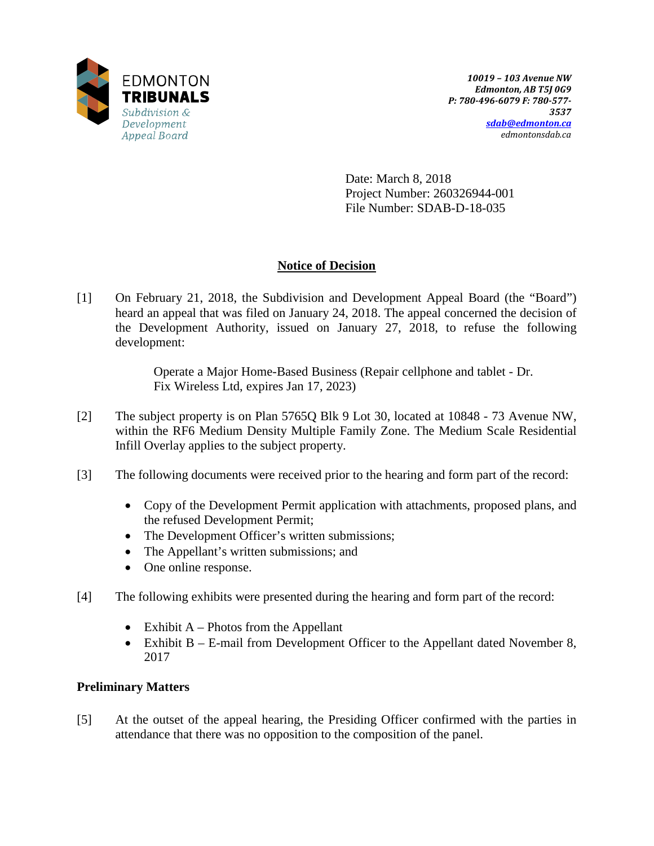

Date: March 8, 2018 Project Number: 260326944-001 File Number: SDAB-D-18-035

# **Notice of Decision**

[1] On February 21, 2018, the Subdivision and Development Appeal Board (the "Board") heard an appeal that was filed on January 24, 2018. The appeal concerned the decision of the Development Authority, issued on January 27, 2018, to refuse the following development:

> Operate a Major Home-Based Business (Repair cellphone and tablet - Dr. Fix Wireless Ltd, expires Jan 17, 2023)

- [2] The subject property is on Plan 5765Q Blk 9 Lot 30, located at 10848 73 Avenue NW, within the RF6 Medium Density Multiple Family Zone. The Medium Scale Residential Infill Overlay applies to the subject property.
- [3] The following documents were received prior to the hearing and form part of the record:
	- Copy of the Development Permit application with attachments, proposed plans, and the refused Development Permit;
	- The Development Officer's written submissions;
	- The Appellant's written submissions; and
	- One online response.
- [4] The following exhibits were presented during the hearing and form part of the record:
	- Exhibit  $A$  Photos from the Appellant
	- Exhibit B E-mail from Development Officer to the Appellant dated November 8, 2017

# **Preliminary Matters**

[5] At the outset of the appeal hearing, the Presiding Officer confirmed with the parties in attendance that there was no opposition to the composition of the panel.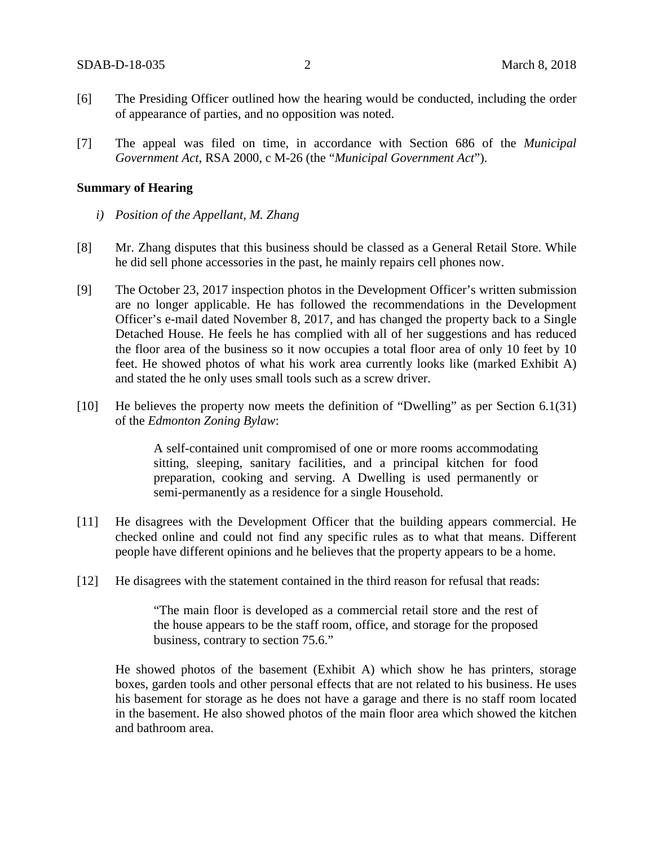- [6] The Presiding Officer outlined how the hearing would be conducted, including the order of appearance of parties, and no opposition was noted.
- [7] The appeal was filed on time, in accordance with Section 686 of the *Municipal Government Act*, RSA 2000, c M-26 (the "*Municipal Government Act*").

#### **Summary of Hearing**

- *i) Position of the Appellant, M. Zhang*
- [8] Mr. Zhang disputes that this business should be classed as a General Retail Store. While he did sell phone accessories in the past, he mainly repairs cell phones now.
- [9] The October 23, 2017 inspection photos in the Development Officer's written submission are no longer applicable. He has followed the recommendations in the Development Officer's e-mail dated November 8, 2017, and has changed the property back to a Single Detached House. He feels he has complied with all of her suggestions and has reduced the floor area of the business so it now occupies a total floor area of only 10 feet by 10 feet. He showed photos of what his work area currently looks like (marked Exhibit A) and stated the he only uses small tools such as a screw driver.
- [10] He believes the property now meets the definition of "Dwelling" as per Section 6.1(31) of the *Edmonton Zoning Bylaw*:

A self-contained unit compromised of one or more rooms accommodating sitting, sleeping, sanitary facilities, and a principal kitchen for food preparation, cooking and serving. A Dwelling is used permanently or semi-permanently as a residence for a single Household.

- [11] He disagrees with the Development Officer that the building appears commercial. He checked online and could not find any specific rules as to what that means. Different people have different opinions and he believes that the property appears to be a home.
- [12] He disagrees with the statement contained in the third reason for refusal that reads:

"The main floor is developed as a commercial retail store and the rest of the house appears to be the staff room, office, and storage for the proposed business, contrary to section 75.6."

He showed photos of the basement (Exhibit A) which show he has printers, storage boxes, garden tools and other personal effects that are not related to his business. He uses his basement for storage as he does not have a garage and there is no staff room located in the basement. He also showed photos of the main floor area which showed the kitchen and bathroom area.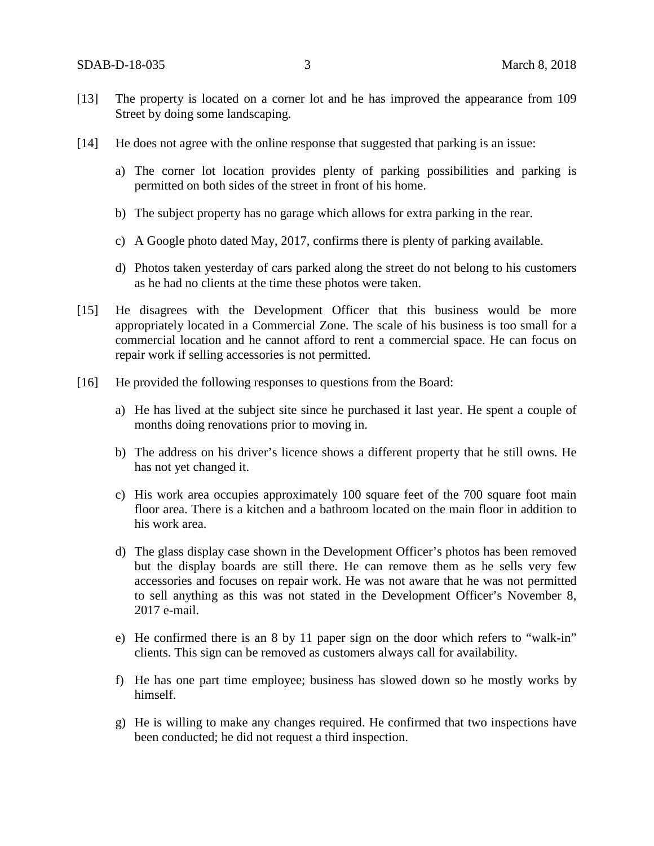- [13] The property is located on a corner lot and he has improved the appearance from 109 Street by doing some landscaping.
- [14] He does not agree with the online response that suggested that parking is an issue:
	- a) The corner lot location provides plenty of parking possibilities and parking is permitted on both sides of the street in front of his home.
	- b) The subject property has no garage which allows for extra parking in the rear.
	- c) A Google photo dated May, 2017, confirms there is plenty of parking available.
	- d) Photos taken yesterday of cars parked along the street do not belong to his customers as he had no clients at the time these photos were taken.
- [15] He disagrees with the Development Officer that this business would be more appropriately located in a Commercial Zone. The scale of his business is too small for a commercial location and he cannot afford to rent a commercial space. He can focus on repair work if selling accessories is not permitted.
- [16] He provided the following responses to questions from the Board:
	- a) He has lived at the subject site since he purchased it last year. He spent a couple of months doing renovations prior to moving in.
	- b) The address on his driver's licence shows a different property that he still owns. He has not yet changed it.
	- c) His work area occupies approximately 100 square feet of the 700 square foot main floor area. There is a kitchen and a bathroom located on the main floor in addition to his work area.
	- d) The glass display case shown in the Development Officer's photos has been removed but the display boards are still there. He can remove them as he sells very few accessories and focuses on repair work. He was not aware that he was not permitted to sell anything as this was not stated in the Development Officer's November 8, 2017 e-mail.
	- e) He confirmed there is an 8 by 11 paper sign on the door which refers to "walk-in" clients. This sign can be removed as customers always call for availability.
	- f) He has one part time employee; business has slowed down so he mostly works by himself.
	- g) He is willing to make any changes required. He confirmed that two inspections have been conducted; he did not request a third inspection.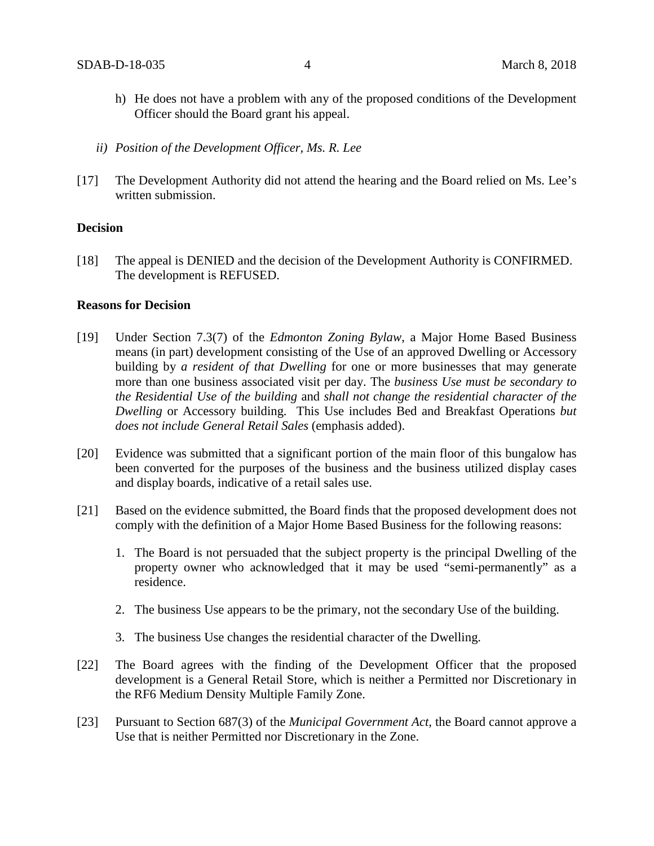- h) He does not have a problem with any of the proposed conditions of the Development Officer should the Board grant his appeal.
- *ii) Position of the Development Officer, Ms. R. Lee*
- [17] The Development Authority did not attend the hearing and the Board relied on Ms. Lee's written submission.

#### **Decision**

[18] The appeal is DENIED and the decision of the Development Authority is CONFIRMED. The development is REFUSED.

#### **Reasons for Decision**

- [19] Under Section 7.3(7) of the *Edmonton Zoning Bylaw*, a Major Home Based Business means (in part) development consisting of the Use of an approved Dwelling or Accessory building by *a resident of that Dwelling* for one or more businesses that may generate more than one business associated visit per day. The *business Use must be secondary to the Residential Use of the building* and *shall not change the residential character of the Dwelling* or Accessory building. This Use includes Bed and Breakfast Operations *but does not include General Retail Sales* (emphasis added).
- [20] Evidence was submitted that a significant portion of the main floor of this bungalow has been converted for the purposes of the business and the business utilized display cases and display boards, indicative of a retail sales use.
- [21] Based on the evidence submitted, the Board finds that the proposed development does not comply with the definition of a Major Home Based Business for the following reasons:
	- 1. The Board is not persuaded that the subject property is the principal Dwelling of the property owner who acknowledged that it may be used "semi-permanently" as a residence.
	- 2. The business Use appears to be the primary, not the secondary Use of the building.
	- 3. The business Use changes the residential character of the Dwelling.
- [22] The Board agrees with the finding of the Development Officer that the proposed development is a General Retail Store, which is neither a Permitted nor Discretionary in the RF6 Medium Density Multiple Family Zone.
- [23] Pursuant to Section 687(3) of the *Municipal Government Act*, the Board cannot approve a Use that is neither Permitted nor Discretionary in the Zone.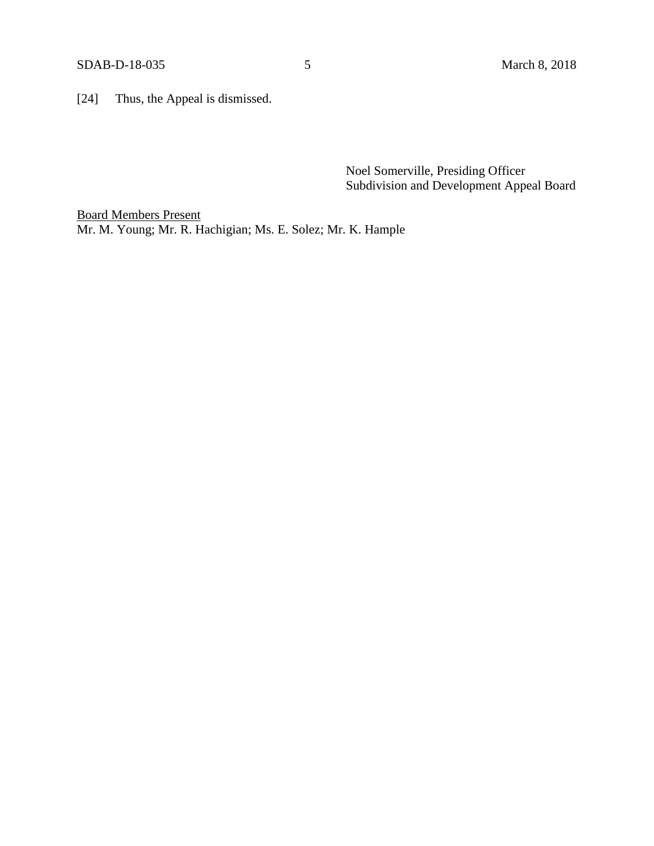[24] Thus, the Appeal is dismissed.

Noel Somerville, Presiding Officer Subdivision and Development Appeal Board

Board Members Present Mr. M. Young; Mr. R. Hachigian; Ms. E. Solez; Mr. K. Hample